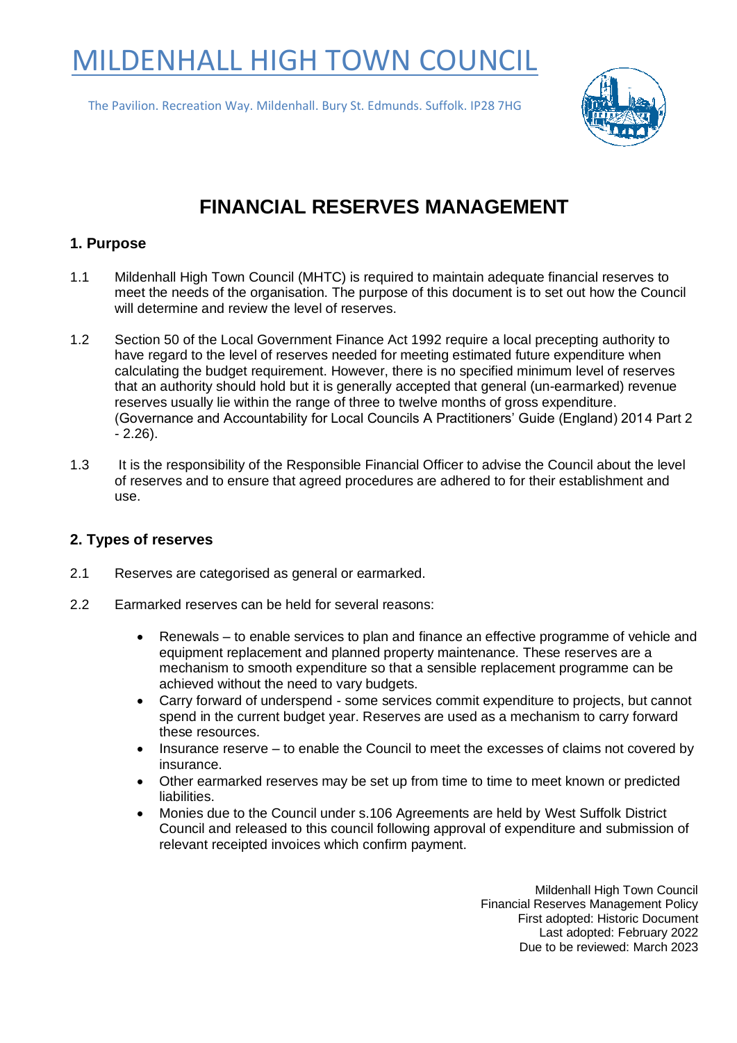# MILDENHALL HIGH TOWN COUNCIL

The Pavilion. Recreation Way. Mildenhall. Bury St. Edmunds. Suffolk. IP28 7HG



# **FINANCIAL RESERVES MANAGEMENT**

#### **1. Purpose**

- 1.1 Mildenhall High Town Council (MHTC) is required to maintain adequate financial reserves to meet the needs of the organisation. The purpose of this document is to set out how the Council will determine and review the level of reserves.
- 1.2 Section 50 of the Local Government Finance Act 1992 require a local precepting authority to have regard to the level of reserves needed for meeting estimated future expenditure when calculating the budget requirement. However, there is no specified minimum level of reserves that an authority should hold but it is generally accepted that general (un-earmarked) revenue reserves usually lie within the range of three to twelve months of gross expenditure. (Governance and Accountability for Local Councils A Practitioners' Guide (England) 2014 Part 2  $-2.26$ ).
- 1.3 It is the responsibility of the Responsible Financial Officer to advise the Council about the level of reserves and to ensure that agreed procedures are adhered to for their establishment and use.

#### **2. Types of reserves**

- 2.1 Reserves are categorised as general or earmarked.
- 2.2 Earmarked reserves can be held for several reasons:
	- Renewals to enable services to plan and finance an effective programme of vehicle and equipment replacement and planned property maintenance. These reserves are a mechanism to smooth expenditure so that a sensible replacement programme can be achieved without the need to vary budgets.
	- Carry forward of underspend some services commit expenditure to projects, but cannot spend in the current budget year. Reserves are used as a mechanism to carry forward these resources.
	- Insurance reserve to enable the Council to meet the excesses of claims not covered by insurance.
	- Other earmarked reserves may be set up from time to time to meet known or predicted liabilities.
	- Monies due to the Council under s.106 Agreements are held by West Suffolk District Council and released to this council following approval of expenditure and submission of relevant receipted invoices which confirm payment.

Mildenhall High Town Council Financial Reserves Management Policy First adopted: Historic Document Last adopted: February 2022 Due to be reviewed: March 2023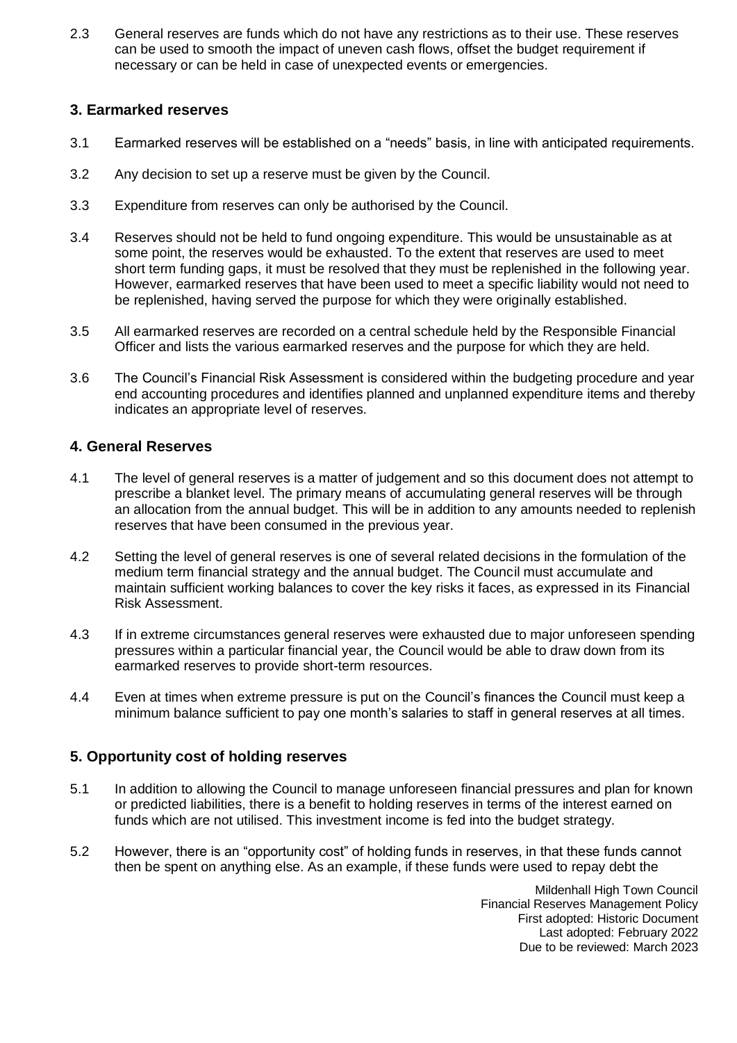2.3 General reserves are funds which do not have any restrictions as to their use. These reserves can be used to smooth the impact of uneven cash flows, offset the budget requirement if necessary or can be held in case of unexpected events or emergencies.

#### **3. Earmarked reserves**

- 3.1 Earmarked reserves will be established on a "needs" basis, in line with anticipated requirements.
- 3.2 Any decision to set up a reserve must be given by the Council.
- 3.3 Expenditure from reserves can only be authorised by the Council.
- 3.4 Reserves should not be held to fund ongoing expenditure. This would be unsustainable as at some point, the reserves would be exhausted. To the extent that reserves are used to meet short term funding gaps, it must be resolved that they must be replenished in the following year. However, earmarked reserves that have been used to meet a specific liability would not need to be replenished, having served the purpose for which they were originally established.
- 3.5 All earmarked reserves are recorded on a central schedule held by the Responsible Financial Officer and lists the various earmarked reserves and the purpose for which they are held.
- 3.6 The Council's Financial Risk Assessment is considered within the budgeting procedure and year end accounting procedures and identifies planned and unplanned expenditure items and thereby indicates an appropriate level of reserves.

#### **4. General Reserves**

- 4.1 The level of general reserves is a matter of judgement and so this document does not attempt to prescribe a blanket level. The primary means of accumulating general reserves will be through an allocation from the annual budget. This will be in addition to any amounts needed to replenish reserves that have been consumed in the previous year.
- 4.2 Setting the level of general reserves is one of several related decisions in the formulation of the medium term financial strategy and the annual budget. The Council must accumulate and maintain sufficient working balances to cover the key risks it faces, as expressed in its Financial Risk Assessment.
- 4.3 If in extreme circumstances general reserves were exhausted due to major unforeseen spending pressures within a particular financial year, the Council would be able to draw down from its earmarked reserves to provide short-term resources.
- 4.4 Even at times when extreme pressure is put on the Council's finances the Council must keep a minimum balance sufficient to pay one month's salaries to staff in general reserves at all times.

## **5. Opportunity cost of holding reserves**

- 5.1 In addition to allowing the Council to manage unforeseen financial pressures and plan for known or predicted liabilities, there is a benefit to holding reserves in terms of the interest earned on funds which are not utilised. This investment income is fed into the budget strategy.
- 5.2 However, there is an "opportunity cost" of holding funds in reserves, in that these funds cannot then be spent on anything else. As an example, if these funds were used to repay debt the

Mildenhall High Town Council Financial Reserves Management Policy First adopted: Historic Document Last adopted: February 2022 Due to be reviewed: March 2023